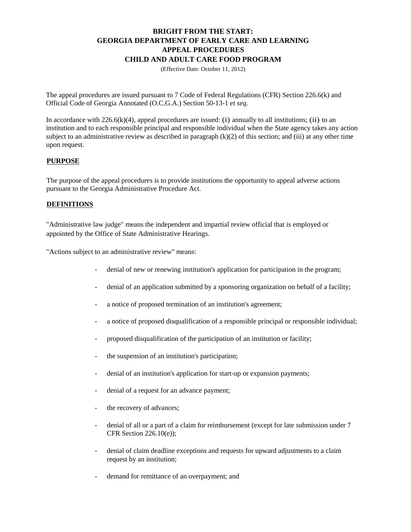# **BRIGHT FROM THE START: GEORGIA DEPARTMENT OF EARLY CARE AND LEARNING APPEAL PROCEDURES CHILD AND ADULT CARE FOOD PROGRAM**

(Effective Date: October 11, 2012)

The appeal procedures are issued pursuant to 7 Code of Federal Regulations (CFR) Section 226.6(k) and Official Code of Georgia Annotated (O.C.G.A.) Section 50-13-1 *et seq.* 

In accordance with  $226.6(k)(4)$ , appeal procedures are issued: (i) annually to all institutions; (ii) to an institution and to each responsible principal and responsible individual when the State agency takes any action subject to an administrative review as described in paragraph  $(k)(2)$  of this section; and (iii) at any other time upon request.

## **PURPOSE**

The purpose of the appeal procedures is to provide institutions the opportunity to appeal adverse actions pursuant to the Georgia Administrative Procedure Act.

## **DEFINITIONS**

"Administrative law judge" means the independent and impartial review official that is employed or appointed by the Office of State Administrative Hearings.

"Actions subject to an administrative review" means:

- denial of new or renewing institution's application for participation in the program;
- denial of an application submitted by a sponsoring organization on behalf of a facility;
- a notice of proposed termination of an institution's agreement;
- a notice of proposed disqualification of a responsible principal or responsible individual;
- proposed disqualification of the participation of an institution or facility;
- the suspension of an institution's participation;
- denial of an institution's application for start-up or expansion payments;
- denial of a request for an advance payment;
- the recovery of advances;
- denial of all or a part of a claim for reimbursement (except for late submission under 7 CFR Section 226.10(e));
- denial of claim deadline exceptions and requests for upward adjustments to a claim request by an institution;
- demand for remittance of an overpayment; and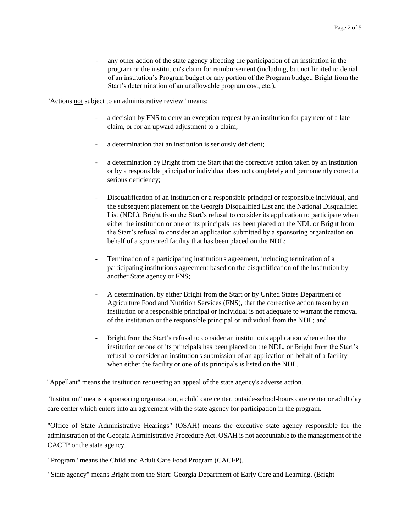- any other action of the state agency affecting the participation of an institution in the program or the institution's claim for reimbursement (including, but not limited to denial of an institution's Program budget or any portion of the Program budget, Bright from the Start's determination of an unallowable program cost, etc.).

"Actions not subject to an administrative review" means:

- a decision by FNS to deny an exception request by an institution for payment of a late claim, or for an upward adjustment to a claim;
- a determination that an institution is seriously deficient;
- a determination by Bright from the Start that the corrective action taken by an institution or by a responsible principal or individual does not completely and permanently correct a serious deficiency;
- Disqualification of an institution or a responsible principal or responsible individual, and the subsequent placement on the Georgia Disqualified List and the National Disqualified List (NDL), Bright from the Start's refusal to consider its application to participate when either the institution or one of its principals has been placed on the NDL or Bright from the Start's refusal to consider an application submitted by a sponsoring organization on behalf of a sponsored facility that has been placed on the NDL;
- Termination of a participating institution's agreement, including termination of a participating institution's agreement based on the disqualification of the institution by another State agency or FNS;
- A determination, by either Bright from the Start or by United States Department of Agriculture Food and Nutrition Services (FNS), that the corrective action taken by an institution or a responsible principal or individual is not adequate to warrant the removal of the institution or the responsible principal or individual from the NDL; and
- Bright from the Start's refusal to consider an institution's application when either the institution or one of its principals has been placed on the NDL, or Bright from the Start's refusal to consider an institution's submission of an application on behalf of a facility when either the facility or one of its principals is listed on the NDL.

"Appellant" means the institution requesting an appeal of the state agency's adverse action.

"Institution" means a sponsoring organization, a child care center, outside-school-hours care center or adult day care center which enters into an agreement with the state agency for participation in the program.

"Office of State Administrative Hearings" (OSAH) means the executive state agency responsible for the administration of the Georgia Administrative Procedure Act. OSAH is not accountable to the management of the CACFP or the state agency.

"Program" means the Child and Adult Care Food Program (CACFP).

"State agency" means Bright from the Start: Georgia Department of Early Care and Learning. (Bright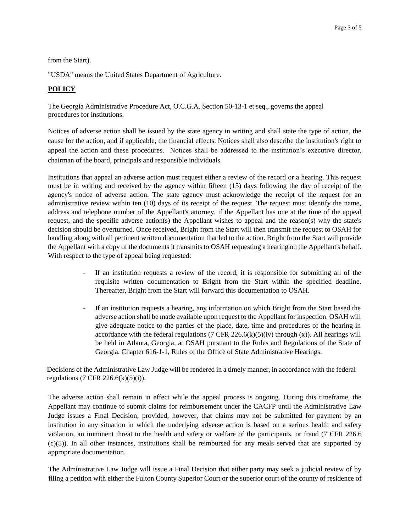from the Start).

"USDA" means the United States Department of Agriculture.

#### **POLICY**

The Georgia Administrative Procedure Act, O.C.G.A. Section 50-13-1 et seq., governs the appeal procedures for institutions.

Notices of adverse action shall be issued by the state agency in writing and shall state the type of action, the cause for the action, and if applicable, the financial effects. Notices shall also describe the institution's right to appeal the action and these procedures. Notices shall be addressed to the institution's executive director, chairman of the board, principals and responsible individuals.

Institutions that appeal an adverse action must request either a review of the record or a hearing. This request must be in writing and received by the agency within fifteen (15) days following the day of receipt of the agency's notice of adverse action. The state agency must acknowledge the receipt of the request for an administrative review within ten (10) days of its receipt of the request. The request must identify the name, address and telephone number of the Appellant's attorney, if the Appellant has one at the time of the appeal request, and the specific adverse action(s) the Appellant wishes to appeal and the reason(s) why the state's decision should be overturned. Once received, Bright from the Start will then transmit the request to OSAH for handling along with all pertinent written documentation that led to the action. Bright from the Start will provide the Appellant with a copy of the documents it transmits to OSAH requesting a hearing on the Appellant's behalf. With respect to the type of appeal being requested:

- If an institution requests a review of the record, it is responsible for submitting all of the requisite written documentation to Bright from the Start within the specified deadline. Thereafter, Bright from the Start will forward this documentation to OSAH.
- If an institution requests a hearing, any information on which Bright from the Start based the adverse action shall be made available upon request to the Appellant for inspection. OSAH will give adequate notice to the parties of the place, date, time and procedures of the hearing in accordance with the federal regulations (7 CFR  $226.6(k)(5)(iv)$  through (x)). All hearings will be held in Atlanta, Georgia, at OSAH pursuant to the Rules and Regulations of the State of Georgia, Chapter 616-1-1, Rules of the Office of State Administrative Hearings.

Decisions of the Administrative Law Judge will be rendered in a timely manner, in accordance with the federal regulations (7 CFR 226.6(k)(5)(i)).

The adverse action shall remain in effect while the appeal process is ongoing. During this timeframe, the Appellant may continue to submit claims for reimbursement under the CACFP until the Administrative Law Judge issues a Final Decision; provided, however, that claims may not be submitted for payment by an institution in any situation in which the underlying adverse action is based on a serious health and safety violation, an imminent threat to the health and safety or welfare of the participants, or fraud (7 CFR 226.6 (c)(5)). In all other instances, institutions shall be reimbursed for any meals served that are supported by appropriate documentation.

The Administrative Law Judge will issue a Final Decision that either party may seek a judicial review of by filing a petition with either the Fulton County Superior Court or the superior court of the county of residence of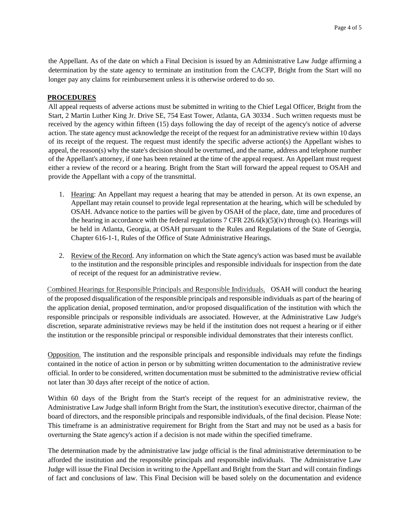the Appellant. As of the date on which a Final Decision is issued by an Administrative Law Judge affirming a determination by the state agency to terminate an institution from the CACFP, Bright from the Start will no longer pay any claims for reimbursement unless it is otherwise ordered to do so.

#### **PROCEDURES**

All appeal requests of adverse actions must be submitted in writing to the Chief Legal Officer, Bright from the Start, 2 Martin Luther King Jr. Drive SE, 754 East Tower, Atlanta, GA 30334 . Such written requests must be received by the agency within fifteen (15) days following the day of receipt of the agency's notice of adverse action. The state agency must acknowledge the receipt of the request for an administrative review within 10 days of its receipt of the request. The request must identify the specific adverse action(s) the Appellant wishes to appeal, the reason(s) why the state's decision should be overturned, and the name, address and telephone number of the Appellant's attorney, if one has been retained at the time of the appeal request. An Appellant must request either a review of the record or a hearing. Bright from the Start will forward the appeal request to OSAH and provide the Appellant with a copy of the transmittal.

- 1. Hearing: An Appellant may request a hearing that may be attended in person. At its own expense, an Appellant may retain counsel to provide legal representation at the hearing, which will be scheduled by OSAH. Advance notice to the parties will be given by OSAH of the place, date, time and procedures of the hearing in accordance with the federal regulations 7 CFR 226.6(k)(5)(iv) through (x). Hearings will be held in Atlanta, Georgia, at OSAH pursuant to the Rules and Regulations of the State of Georgia, Chapter 616-1-1, Rules of the Office of State Administrative Hearings.
- 2. Review of the Record. Any information on which the State agency's action was based must be available to the institution and the responsible principles and responsible individuals for inspection from the date of receipt of the request for an administrative review.

Combined Hearings for Responsible Principals and Responsible Individuals. OSAH will conduct the hearing of the proposed disqualification of the responsible principals and responsible individuals as part of the hearing of the application denial, proposed termination, and/or proposed disqualification of the institution with which the responsible principals or responsible individuals are associated. However, at the Administrative Law Judge's discretion, separate administrative reviews may be held if the institution does not request a hearing or if either the institution or the responsible principal or responsible individual demonstrates that their interests conflict.

Opposition. The institution and the responsible principals and responsible individuals may refute the findings contained in the notice of action in person or by submitting written documentation to the administrative review official. In order to be considered, written documentation must be submitted to the administrative review official not later than 30 days after receipt of the notice of action.

Within 60 days of the Bright from the Start's receipt of the request for an administrative review, the Administrative Law Judge shall inform Bright from the Start, the institution's executive director, chairman of the board of directors, and the responsible principals and responsible individuals, of the final decision. Please Note: This timeframe is an administrative requirement for Bright from the Start and may not be used as a basis for overturning the State agency's action if a decision is not made within the specified timeframe.

The determination made by the administrative law judge official is the final administrative determination to be afforded the institution and the responsible principals and responsible individuals. The Administrative Law Judge will issue the Final Decision in writing to the Appellant and Bright from the Start and will contain findings of fact and conclusions of law. This Final Decision will be based solely on the documentation and evidence